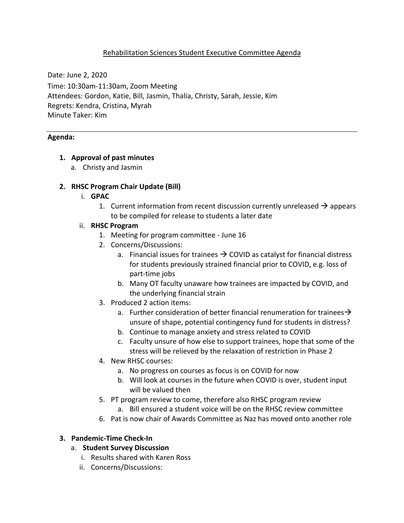# Rehabilitation Sciences Student Executive Committee Agenda

Date: June 2, 2020

Time: 10:30am-11:30am, Zoom Meeting Attendees: Gordon, Katie, Bill, Jasmin, Thalia, Christy, Sarah, Jessie, Kim Regrets: Kendra, Cristina, Myrah Minute Taker: Kim

#### **Agenda:**

### **1. Approval of past minutes**

a. Christy and Jasmin

### **2. RHSC Program Chair Update (Bill)**

- i. **GPAC**
	- 1. Current information from recent discussion currently unreleased  $\rightarrow$  appears to be compiled for release to students a later date

### ii. **RHSC Program**

- 1. Meeting for program committee June 16
- 2. Concerns/Discussions:
	- a. Financial issues for trainees  $\rightarrow$  COVID as catalyst for financial distress for students previously strained financial prior to COVID, e.g. loss of part-time jobs
	- b. Many OT faculty unaware how trainees are impacted by COVID, and the underlying financial strain
- 3. Produced 2 action items:
	- a. Further consideration of better financial renumeration for trainees  $\rightarrow$ unsure of shape, potential contingency fund for students in distress?
	- b. Continue to manage anxiety and stress related to COVID
	- c. Faculty unsure of how else to support trainees, hope that some of the stress will be relieved by the relaxation of restriction in Phase 2
- 4. New RHSC courses:
	- a. No progress on courses as focus is on COVID for now
	- b. Will look at courses in the future when COVID is over, student input will be valued then
- 5. PT program review to come, therefore also RHSC program review
	- a. Bill ensured a student voice will be on the RHSC review committee
- 6. Pat is now chair of Awards Committee as Naz has moved onto another role

### **3. Pandemic-Time Check-In**

### a. **Student Survey Discussion**

- i. Results shared with Karen Ross
- ii. Concerns/Discussions: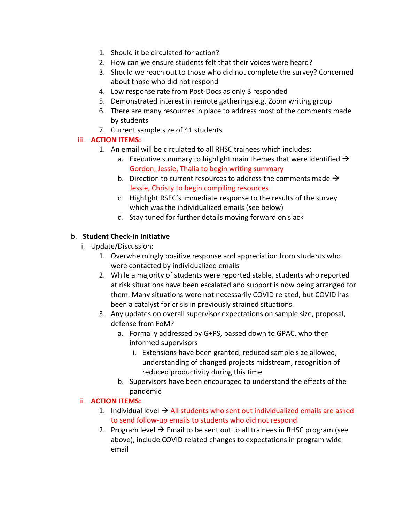- 1. Should it be circulated for action?
- 2. How can we ensure students felt that their voices were heard?
- 3. Should we reach out to those who did not complete the survey? Concerned about those who did not respond
- 4. Low response rate from Post-Docs as only 3 responded
- 5. Demonstrated interest in remote gatherings e.g. Zoom writing group
- 6. There are many resources in place to address most of the comments made by students
- 7. Current sample size of 41 students

# iii. **ACTION ITEMS:**

- 1. An email will be circulated to all RHSC trainees which includes:
	- a. Executive summary to highlight main themes that were identified  $\rightarrow$ Gordon, Jessie, Thalia to begin writing summary
	- b. Direction to current resources to address the comments made  $\rightarrow$ Jessie, Christy to begin compiling resources
	- c. Highlight RSEC's immediate response to the results of the survey which was the individualized emails (see below)
	- d. Stay tuned for further details moving forward on slack

# b. **Student Check-in Initiative**

- i. Update/Discussion:
	- 1. Overwhelmingly positive response and appreciation from students who were contacted by individualized emails
	- 2. While a majority of students were reported stable, students who reported at risk situations have been escalated and support is now being arranged for them. Many situations were not necessarily COVID related, but COVID has been a catalyst for crisis in previously strained situations.
	- 3. Any updates on overall supervisor expectations on sample size, proposal, defense from FoM?
		- a. Formally addressed by G+PS, passed down to GPAC, who then informed supervisors
			- i. Extensions have been granted, reduced sample size allowed, understanding of changed projects midstream, recognition of reduced productivity during this time
		- b. Supervisors have been encouraged to understand the effects of the pandemic

# ii. **ACTION ITEMS:**

- 1. Individual level  $\rightarrow$  All students who sent out individualized emails are asked to send follow-up emails to students who did not respond
- 2. Program level  $\rightarrow$  Email to be sent out to all trainees in RHSC program (see above), include COVID related changes to expectations in program wide email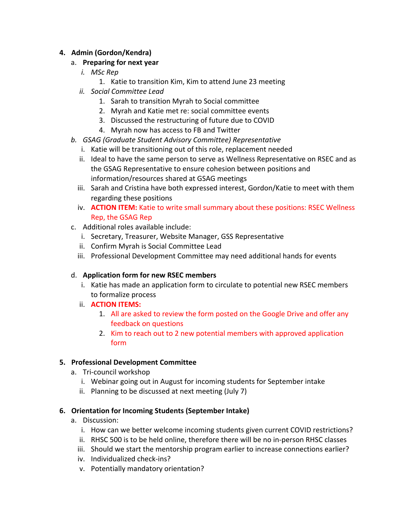# **4. Admin (Gordon/Kendra)**

# a. **Preparing for next year**

- *i. MSc Rep*
	- 1. Katie to transition Kim, Kim to attend June 23 meeting
- *ii. Social Committee Lead*
	- 1. Sarah to transition Myrah to Social committee
	- 2. Myrah and Katie met re: social committee events
	- 3. Discussed the restructuring of future due to COVID
	- 4. Myrah now has access to FB and Twitter
- *b. GSAG (Graduate Student Advisory Committee) Representative*
	- i. Katie will be transitioning out of this role, replacement needed
	- ii. Ideal to have the same person to serve as Wellness Representative on RSEC and as the GSAG Representative to ensure cohesion between positions and information/resources shared at GSAG meetings
	- iii. Sarah and Cristina have both expressed interest, Gordon/Katie to meet with them regarding these positions
	- iv. **ACTION ITEM:** Katie to write small summary about these positions: RSEC Wellness Rep, the GSAG Rep
- c. Additional roles available include:
	- i. Secretary, Treasurer, Website Manager, GSS Representative
	- ii. Confirm Myrah is Social Committee Lead
	- iii. Professional Development Committee may need additional hands for events

### d. **Application form for new RSEC members**

- i. Katie has made an application form to circulate to potential new RSEC members to formalize process
- ii. **ACTION ITEMS:** 
	- 1. All are asked to review the form posted on the Google Drive and offer any feedback on questions
	- 2. Kim to reach out to 2 new potential members with approved application form

### **5. Professional Development Committee**

- a. Tri-council workshop
	- i. Webinar going out in August for incoming students for September intake
	- ii. Planning to be discussed at next meeting (July 7)

### **6. Orientation for Incoming Students (September Intake)**

- a. Discussion:
	- i. How can we better welcome incoming students given current COVID restrictions?
	- ii. RHSC 500 is to be held online, therefore there will be no in-person RHSC classes
	- iii. Should we start the mentorship program earlier to increase connections earlier?
	- iv. Individualized check-ins?
	- v. Potentially mandatory orientation?